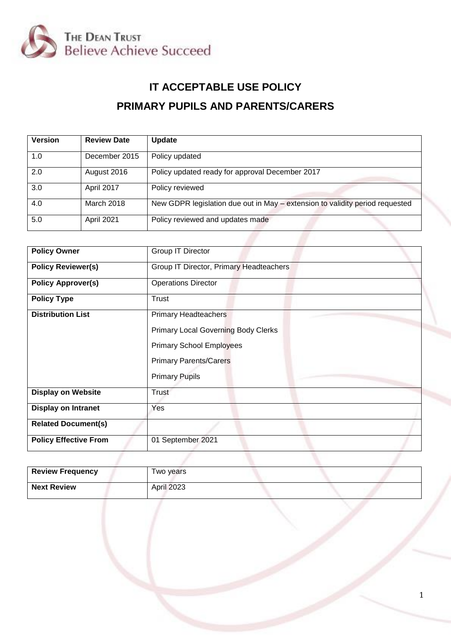

# **IT ACCEPTABLE USE POLICY PRIMARY PUPILS AND PARENTS/CARERS**

| <b>Version</b> | <b>Review Date</b> | <b>Update</b>                                                                |
|----------------|--------------------|------------------------------------------------------------------------------|
| 1.0            | December 2015      | Policy updated                                                               |
| 2.0            | August 2016        | Policy updated ready for approval December 2017                              |
| 3.0            | April 2017         | Policy reviewed                                                              |
| 4.0            | March 2018         | New GDPR legislation due out in May – extension to validity period requested |
| 5.0            | April 2021         | Policy reviewed and updates made                                             |

| Group IT Director                          |  |
|--------------------------------------------|--|
| Group IT Director, Primary Headteachers    |  |
| <b>Operations Director</b>                 |  |
| <b>Trust</b>                               |  |
| <b>Primary Headteachers</b>                |  |
| <b>Primary Local Governing Body Clerks</b> |  |
| <b>Primary School Employees</b>            |  |
| <b>Primary Parents/Carers</b>              |  |
| <b>Primary Pupils</b>                      |  |
| Trust                                      |  |
| Yes                                        |  |
|                                            |  |
| 01 September 2021                          |  |
|                                            |  |

| <b>Review Frequency</b> | Two years         |  |
|-------------------------|-------------------|--|
| <b>Next Review</b>      | <b>April 2023</b> |  |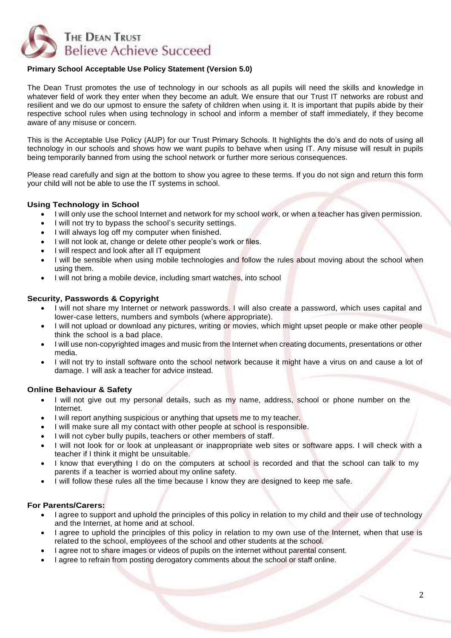

## **Primary School Acceptable Use Policy Statement (Version 5.0)**

The Dean Trust promotes the use of technology in our schools as all pupils will need the skills and knowledge in whatever field of work they enter when they become an adult. We ensure that our Trust IT networks are robust and resilient and we do our upmost to ensure the safety of children when using it. It is important that pupils abide by their respective school rules when using technology in school and inform a member of staff immediately, if they become aware of any misuse or concern.

This is the Acceptable Use Policy (AUP) for our Trust Primary Schools. It highlights the do's and do nots of using all technology in our schools and shows how we want pupils to behave when using IT. Any misuse will result in pupils being temporarily banned from using the school network or further more serious consequences.

Please read carefully and sign at the bottom to show you agree to these terms. If you do not sign and return this form your child will not be able to use the IT systems in school.

## **Using Technology in School**

- I will only use the school Internet and network for my school work, or when a teacher has given permission.
- I will not try to bypass the school's security settings.
- I will always log off my computer when finished.
- I will not look at, change or delete other people's work or files.
- I will respect and look after all IT equipment
- I will be sensible when using mobile technologies and follow the rules about moving about the school when using them.
- I will not bring a mobile device, including smart watches, into school

### **Security, Passwords & Copyright**

- I will not share my Internet or network passwords. I will also create a password, which uses capital and lower-case letters, numbers and symbols (where appropriate).
- I will not upload or download any pictures, writing or movies, which might upset people or make other people think the school is a bad place.
- I will use non-copyrighted images and music from the Internet when creating documents, presentations or other media.
- I will not try to install software onto the school network because it might have a virus on and cause a lot of damage. I will ask a teacher for advice instead.

### **Online Behaviour & Safety**

- I will not give out my personal details, such as my name, address, school or phone number on the Internet.
- I will report anything suspicious or anything that upsets me to my teacher.
- I will make sure all my contact with other people at school is responsible.
- I will not cyber bully pupils, teachers or other members of staff.
- I will not look for or look at unpleasant or inappropriate web sites or software apps. I will check with a teacher if I think it might be unsuitable.
- I know that everything I do on the computers at school is recorded and that the school can talk to my parents if a teacher is worried about my online safety.
- I will follow these rules all the time because I know they are designed to keep me safe.

#### **For Parents/Carers:**

- I agree to support and uphold the principles of this policy in relation to my child and their use of technology and the Internet, at home and at school.
- I agree to uphold the principles of this policy in relation to my own use of the Internet, when that use is related to the school, employees of the school and other students at the school.
- I agree not to share images or videos of pupils on the internet without parental consent.
- I agree to refrain from posting derogatory comments about the school or staff online.